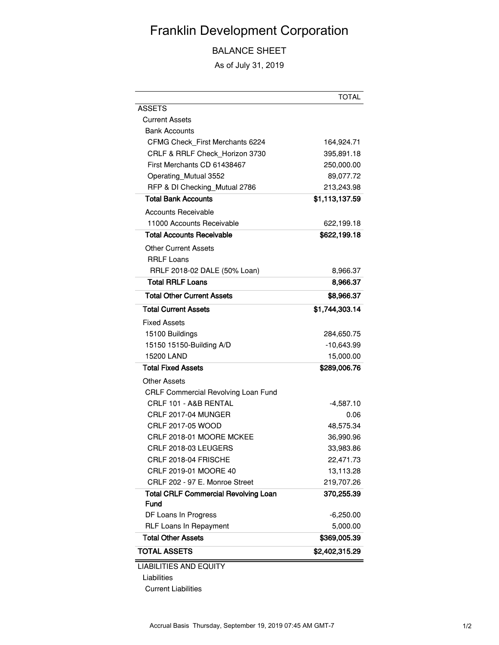## Franklin Development Corporation

BALANCE SHEET

As of July 31, 2019

|                                                            | <b>TOTAL</b>   |
|------------------------------------------------------------|----------------|
| <b>ASSETS</b>                                              |                |
| <b>Current Assets</b>                                      |                |
| <b>Bank Accounts</b>                                       |                |
| CFMG Check_First Merchants 6224                            | 164,924.71     |
| CRLF & RRLF Check Horizon 3730                             | 395,891.18     |
| First Merchants CD 61438467                                | 250,000.00     |
| Operating_Mutual 3552                                      | 89,077.72      |
| RFP & DI Checking_Mutual 2786                              | 213,243.98     |
| <b>Total Bank Accounts</b>                                 | \$1,113,137.59 |
| <b>Accounts Receivable</b>                                 |                |
| 11000 Accounts Receivable                                  | 622,199.18     |
| Total Accounts Receivable                                  | \$622,199.18   |
| <b>Other Current Assets</b>                                |                |
| <b>RRLF Loans</b>                                          |                |
| RRLF 2018-02 DALE (50% Loan)                               | 8,966.37       |
| <b>Total RRLF Loans</b>                                    | 8,966.37       |
| <b>Total Other Current Assets</b>                          | \$8,966.37     |
| <b>Total Current Assets</b>                                | \$1,744,303.14 |
| <b>Fixed Assets</b>                                        |                |
| 15100 Buildings                                            | 284,650.75     |
| 15150 15150-Building A/D                                   | $-10,643.99$   |
| 15200 LAND                                                 | 15,000.00      |
| <b>Total Fixed Assets</b>                                  | \$289,006.76   |
| Other Assets                                               |                |
| CRLF Commercial Revolving Loan Fund                        |                |
| CRLF 101 - A&B RENTAL                                      | -4,587.10      |
| CRLF 2017-04 MUNGER                                        | 0.06           |
| CRLF 2017-05 WOOD                                          | 48,575.34      |
| CRLF 2018-01 MOORE MCKEE                                   | 36,990.96      |
| CRLF 2018-03 LEUGERS                                       | 33,983.86      |
| CRLF 2018-04 FRISCHE                                       | 22,471.73      |
| CRLF 2019-01 MOORE 40                                      | 13,113.28      |
| CRLF 202 - 97 E. Monroe Street                             | 219,707.26     |
| <b>Total CRLF Commercial Revolving Loan</b><br><b>Fund</b> | 370,255.39     |
| DF Loans In Progress                                       | $-6,250.00$    |
| <b>RLF Loans In Repayment</b>                              | 5,000.00       |
| <b>Total Other Assets</b>                                  | \$369,005.39   |
| <b>TOTAL ASSETS</b>                                        | \$2,402,315.29 |
| <b>LIABILITIES AND EQUITY</b>                              |                |

Liabilities

Current Liabilities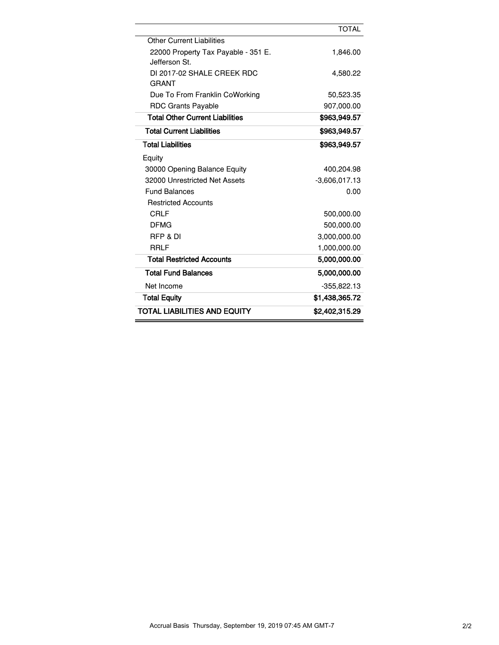|                                                      | <b>TOTAL</b>    |
|------------------------------------------------------|-----------------|
| <b>Other Current Liabilities</b>                     |                 |
| 22000 Property Tax Payable - 351 E.<br>Jefferson St. | 1,846.00        |
| DI 2017-02 SHALE CREEK RDC<br><b>GRANT</b>           | 4,580.22        |
| Due To From Franklin CoWorking                       | 50,523.35       |
| <b>RDC Grants Payable</b>                            | 907,000.00      |
| <b>Total Other Current Liabilities</b>               | \$963,949.57    |
| <b>Total Current Liabilities</b>                     | \$963,949.57    |
| <b>Total Liabilities</b>                             | \$963.949.57    |
| Equity                                               |                 |
| 30000 Opening Balance Equity                         | 400,204.98      |
| 32000 Unrestricted Net Assets                        | $-3,606,017.13$ |
| <b>Fund Balances</b>                                 | 0.00            |
| <b>Restricted Accounts</b>                           |                 |
| <b>CRLF</b>                                          | 500,000.00      |
| <b>DFMG</b>                                          | 500,000.00      |
| RFP & DI                                             | 3,000,000.00    |
| <b>RRLF</b>                                          | 1,000,000.00    |
| <b>Total Restricted Accounts</b>                     | 5,000,000.00    |
| <b>Total Fund Balances</b>                           | 5,000,000.00    |
| Net Income                                           | $-355,822.13$   |
| <b>Total Equity</b>                                  | \$1,438,365.72  |
| <b>TOTAL LIABILITIES AND EQUITY</b>                  | \$2,402,315.29  |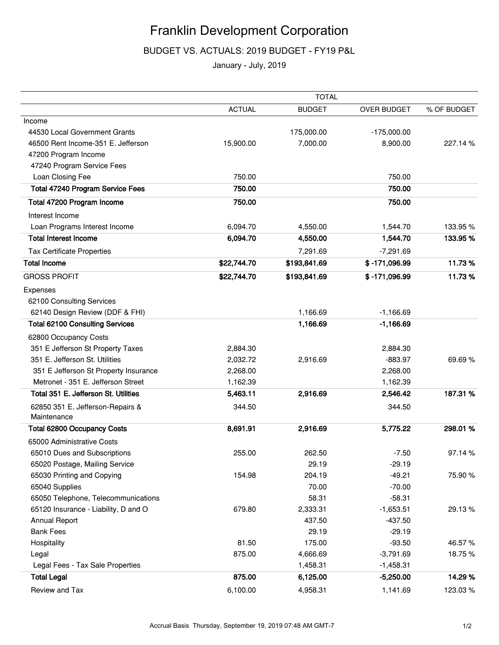## Franklin Development Corporation

BUDGET VS. ACTUALS: 2019 BUDGET - FY19 P&L

January - July, 2019

|                                                 | <b>TOTAL</b>  |               |                    |             |
|-------------------------------------------------|---------------|---------------|--------------------|-------------|
|                                                 | <b>ACTUAL</b> | <b>BUDGET</b> | <b>OVER BUDGET</b> | % OF BUDGET |
| Income                                          |               |               |                    |             |
| 44530 Local Government Grants                   |               | 175,000.00    | $-175,000.00$      |             |
| 46500 Rent Income-351 E. Jefferson              | 15,900.00     | 7,000.00      | 8,900.00           | 227.14%     |
| 47200 Program Income                            |               |               |                    |             |
| 47240 Program Service Fees                      |               |               |                    |             |
| Loan Closing Fee                                | 750.00        |               | 750.00             |             |
| <b>Total 47240 Program Service Fees</b>         | 750.00        |               | 750.00             |             |
| Total 47200 Program Income                      | 750.00        |               | 750.00             |             |
| Interest Income                                 |               |               |                    |             |
| Loan Programs Interest Income                   | 6,094.70      | 4,550.00      | 1,544.70           | 133.95%     |
| <b>Total Interest Income</b>                    | 6,094.70      | 4,550.00      | 1,544.70           | 133.95 %    |
| <b>Tax Certificate Properties</b>               |               | 7,291.69      | $-7,291.69$        |             |
| <b>Total Income</b>                             | \$22,744.70   | \$193,841.69  | \$-171,096.99      | 11.73%      |
| <b>GROSS PROFIT</b>                             | \$22,744.70   | \$193,841.69  | \$-171,096.99      | 11.73%      |
| Expenses                                        |               |               |                    |             |
| 62100 Consulting Services                       |               |               |                    |             |
| 62140 Design Review (DDF & FHI)                 |               | 1,166.69      | $-1,166.69$        |             |
| <b>Total 62100 Consulting Services</b>          |               | 1,166.69      | $-1,166.69$        |             |
| 62800 Occupancy Costs                           |               |               |                    |             |
| 351 E Jefferson St Property Taxes               | 2,884.30      |               | 2,884.30           |             |
| 351 E. Jefferson St. Utilities                  | 2,032.72      | 2,916.69      | $-883.97$          | 69.69%      |
| 351 E Jefferson St Property Insurance           | 2,268.00      |               | 2,268.00           |             |
| Metronet - 351 E. Jefferson Street              | 1,162.39      |               | 1,162.39           |             |
| Total 351 E. Jefferson St. Utilities            | 5,463.11      | 2,916.69      | 2,546.42           | 187.31 %    |
| 62850 351 E. Jefferson-Repairs &<br>Maintenance | 344.50        |               | 344.50             |             |
| <b>Total 62800 Occupancy Costs</b>              | 8,691.91      | 2,916.69      | 5,775.22           | 298.01 %    |
| 65000 Administrative Costs                      |               |               |                    |             |
| 65010 Dues and Subscriptions                    | 255.00        | 262.50        | $-7.50$            | 97.14%      |
| 65020 Postage, Mailing Service                  |               | 29.19         | $-29.19$           |             |
| 65030 Printing and Copying                      | 154.98        | 204.19        | $-49.21$           | 75.90%      |
| 65040 Supplies                                  |               | 70.00         | $-70.00$           |             |
| 65050 Telephone, Telecommunications             |               | 58.31         | $-58.31$           |             |
| 65120 Insurance - Liability, D and O            | 679.80        | 2,333.31      | $-1,653.51$        | 29.13%      |
| Annual Report                                   |               | 437.50        | $-437.50$          |             |
| <b>Bank Fees</b>                                |               | 29.19         | $-29.19$           |             |
| Hospitality                                     | 81.50         | 175.00        | $-93.50$           | 46.57%      |
| Legal                                           | 875.00        | 4,666.69      | $-3,791.69$        | 18.75%      |
| Legal Fees - Tax Sale Properties                |               | 1,458.31      | $-1,458.31$        |             |
| <b>Total Legal</b>                              | 875.00        | 6,125.00      | $-5,250.00$        | 14.29%      |
| Review and Tax                                  | 6,100.00      | 4,958.31      | 1,141.69           | 123.03%     |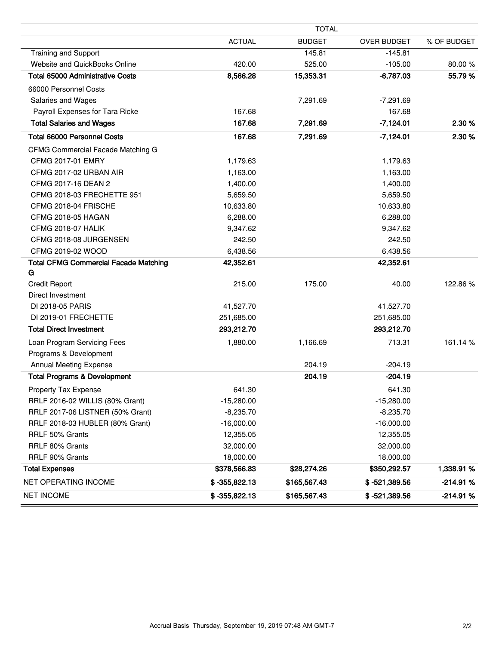|                                                   | <b>TOTAL</b>    |               |                 |             |
|---------------------------------------------------|-----------------|---------------|-----------------|-------------|
|                                                   | <b>ACTUAL</b>   | <b>BUDGET</b> | OVER BUDGET     | % OF BUDGET |
| <b>Training and Support</b>                       |                 | 145.81        | $-145.81$       |             |
| Website and QuickBooks Online                     | 420.00          | 525.00        | $-105.00$       | 80.00%      |
| <b>Total 65000 Administrative Costs</b>           | 8,566.28        | 15,353.31     | $-6,787.03$     | 55.79 %     |
| 66000 Personnel Costs                             |                 |               |                 |             |
| <b>Salaries and Wages</b>                         |                 | 7,291.69      | $-7,291.69$     |             |
| Payroll Expenses for Tara Ricke                   | 167.68          |               | 167.68          |             |
| <b>Total Salaries and Wages</b>                   | 167.68          | 7,291.69      | $-7,124.01$     | 2.30%       |
| <b>Total 66000 Personnel Costs</b>                | 167.68          | 7,291.69      | $-7,124.01$     | 2.30 %      |
| CFMG Commercial Facade Matching G                 |                 |               |                 |             |
| CFMG 2017-01 EMRY                                 | 1,179.63        |               | 1,179.63        |             |
| CFMG 2017-02 URBAN AIR                            | 1,163.00        |               | 1,163.00        |             |
| CFMG 2017-16 DEAN 2                               | 1,400.00        |               | 1,400.00        |             |
| CFMG 2018-03 FRECHETTE 951                        | 5,659.50        |               | 5,659.50        |             |
| CFMG 2018-04 FRISCHE                              | 10,633.80       |               | 10,633.80       |             |
| <b>CFMG 2018-05 HAGAN</b>                         | 6,288.00        |               | 6,288.00        |             |
| <b>CFMG 2018-07 HALIK</b>                         | 9,347.62        |               | 9,347.62        |             |
| CFMG 2018-08 JURGENSEN                            | 242.50          |               | 242.50          |             |
| CFMG 2019-02 WOOD                                 | 6,438.56        |               | 6,438.56        |             |
| <b>Total CFMG Commercial Facade Matching</b><br>G | 42,352.61       |               | 42,352.61       |             |
| <b>Credit Report</b>                              | 215.00          | 175.00        | 40.00           | 122.86%     |
| Direct Investment                                 |                 |               |                 |             |
| DI 2018-05 PARIS                                  | 41,527.70       |               | 41,527.70       |             |
| DI 2019-01 FRECHETTE                              | 251,685.00      |               | 251,685.00      |             |
| <b>Total Direct Investment</b>                    | 293,212.70      |               | 293,212.70      |             |
| Loan Program Servicing Fees                       | 1,880.00        | 1,166.69      | 713.31          | 161.14 %    |
| Programs & Development                            |                 |               |                 |             |
| <b>Annual Meeting Expense</b>                     |                 | 204.19        | $-204.19$       |             |
| <b>Total Programs &amp; Development</b>           |                 | 204.19        | $-204.19$       |             |
| Property Tax Expense                              | 641.30          |               | 641.30          |             |
| RRLF 2016-02 WILLIS (80% Grant)                   | $-15,280.00$    |               | $-15,280.00$    |             |
| RRLF 2017-06 LISTNER (50% Grant)                  | $-8,235.70$     |               | $-8,235.70$     |             |
| RRLF 2018-03 HUBLER (80% Grant)                   | $-16,000.00$    |               | $-16,000.00$    |             |
| RRLF 50% Grants                                   | 12,355.05       |               | 12,355.05       |             |
| RRLF 80% Grants                                   | 32,000.00       |               | 32,000.00       |             |
| RRLF 90% Grants                                   | 18,000.00       |               | 18,000.00       |             |
| <b>Total Expenses</b>                             | \$378,566.83    | \$28,274.26   | \$350,292.57    | 1,338.91 %  |
| NET OPERATING INCOME                              | $$-355,822.13$  | \$165,567.43  | $$ -521,389.56$ | $-214.91%$  |
| <b>NET INCOME</b>                                 | $$ -355,822.13$ | \$165,567.43  | $$ -521,389.56$ | $-214.91%$  |

ċ